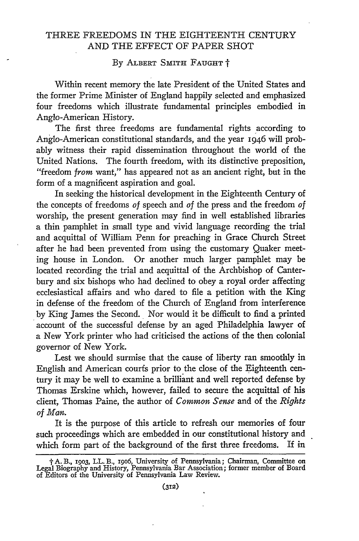## THREE FREEDOMS IN THE EIGHTEENTH CENTURY AND THE EFFECT OF PAPER SHOT

**By** ALBERT **SMITH FAUGHT** t

Within recent memory the late President of the United States and the former Prime Minister of England happily selected and emphasized four freedoms which illustrate fundamental principles embodied in Anglo-American History.

The first three freedoms are fundamental rights according to Anglo-American constitutional standards, and the year 1946 will probably witness their rapid dissemination throughout the world of the United Nations. The fourth freedom, with its distinctive preposition, "freedom *from* want," has appeared not as an ancient right, but in the form of a magnificent aspiration and goal.

In seeking the historical development in the Eighteenth Century of the concepts of freedoms *of* speech and *of* the press and the freedom *of* worship, the present generation may find in well established libraries a thin pamphlet in small type and vivid language recording the trial and acquittal of William Penn for preaching in Grace Church Street after he had been prevented from using the customary Quaker meeting house in London. Or another much larger pamphlet may be located recording the trial and acquittal of the Archbishop of Canterbury and six bishops who had declined to obey a royal order affecting ecclesiastical affairs and who dared to file a petition with the King in defense of the freedom of the Church of England from interference by King James the Second. Nor would it be difficult to find a printed account of the successful defense by an aged Philadelphia lawyer of a New York printer who had criticised the actions of the then colonial governor of New York.

Lest we should surmise that the cause of liberty ran smoothly in English and American courfs prior to the close of the Eighteenth century it may be well to examine a brilliant and well reported defense by Thomas Erskine which, however, failed to secure the acquittal of his client, Thomas Paine, the author of *Common Sense* and of the *Rights of Man.*

It is the purpose of this article to refresh our memories of four such proceedings which are embedded in our constitutional history and which form part of the background of the first three freedoms. If in

<sup>†</sup> A. B., 1903, L.L. B., 1906, University of Pennsylvania; Chairman, Committee or<br>Legal Biography and History, Pennsylvania Bar Association; former member of Board<br>of Editors of the University of Pennsylvania Law Review.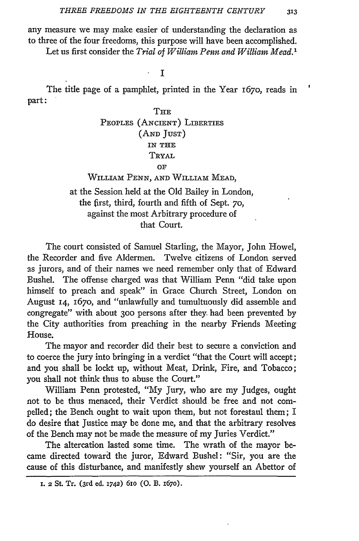any measure we may make easier of understanding the declaration as to three of the four freedoms, this purpose will have been accomplished.

Let us first consider the *Trial of William Penn and William Mead.'*

I

The title page of a pamphlet, printed in the Year 167o, reads in part:

# $\mathtt{THE}$ PEOPLES (ANCIENT) LIBERTIES **(AND JUST) IN THE** TRYAL OF WILLIAM PENN, **AND** WILLIAM MEAD,

at the Session held at the Old Bailey in London, the first, third, fourth and fifth of Sept. *70,* against the most Arbitrary procedure of that Court.

The court consisted of Samuel Starling, the Mayor, John Howel, the Recorder and five Aldermen. Twelve citizens of London served as jurors, and of their names we need remember only that of Edward Bushel. The offense charged was that William Penn "did take upon himself to preach and speak" in Grace Church Street, London on August 14, 167o, and "unlawfully and tumultuously did assemble and congregate" with about **300** persons after they. had been prevented by the City authorities from preaching in the nearby Friends Meeting House.

The mayor and recorder did their best to secure a conviction and to coerce the jury into bringing in a verdict "that the Court will accept; and you shall be lockt up, without Meat, Drink, Fire, and Tobacco; you shall not think thus to abuse the Court."

William Penn protested, "My Jury, who are my Judges, ought not to be thus menaced, their Verdict should be free and not compelled; the Bench ought to wait upon them, but not forestaul them; I do desire that Justice may be done me, and that the arbitrary resolves of the Bench may not be made the measure of my Juries Verdict."

The altercation lasted some time. The wrath of the mayor became directed toward the juror, Edward Bushel: "Sir, you are the cause of this disturbance, and manifestly shew yourself an Abettor of

**I. 2 St. Tr. (3rd** ed. 1742) **61o (0.** B. i67o).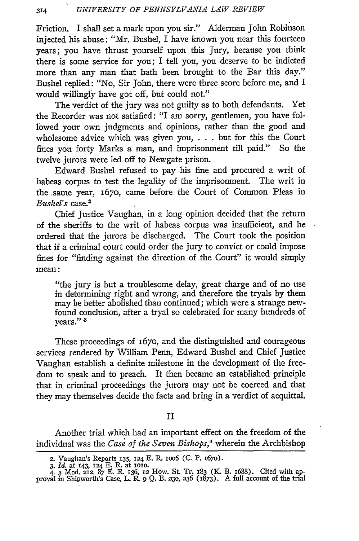Friction. I shall set a mark upon you sir." Alderman John Robinson injected his abuse: "Mr. Bushel, I have known you near this fourteen years; you have thrust yourself upon this Jury, because you think there is some service for you; I tell you, you deserve to be indicted more than any man that hath been brought to the Bar this day." Bushel replied: "No, Sir John, there were three score before me, and I would willingly have got off, but could not."

The verdict of the jury was not guilty as to both defendants. Yet the Recorder was not satisfied: "I am sorry, gentlemen, you have followed your own judgments and opinions, rather than the good and wholesome advice which was given you, . . . but for this the Court fines you forty Marks a man, and imprisonment till paid." So the twelve jurors were led off to Newgate prison.

Edward Bushel refused to pay his fine and procured a writ of habeas corpus to test the legality of the imprisonment. The writ in the same year, 1670, came before the Court of Common Pleas in *Bushel's* case.2

Chief Justice Vaughan, in a long opinion decided that the return of the sheriffs to the writ of habeas corpus was insufficient, and he ordered that the jurors be discharged. The Court took the position that if a criminal court could order the jury to convict or could impose fines for "finding against the direction of the Court" it would simply mean:

"the jury is but a troublesome delay, great charge and of no use in determining right and wrong, and therefore the tryals by them may be better abolished than continued; which were a strange newfound conclusion, after a tryal so celebrated for many hundreds of years." **8**

These proceedings of 167o, and the distinguished and courageous services rendered by William Penn, Edward Bushel and Chief Justice Vaughan establish a definite milestone in the development of the freedom to speak and to preach. It then became an established principle that in criminal proceedings the jurors may not be coerced and that they may themselves decide the facts and bring in a verdict of acquittal.

#### II

Another trial which had an important effect on the freedom of the individual was the *Case of the Seven Bishops,4* wherein the Archbishop

<sup>2.</sup> Vaughan's Reports 135, **124** E. R. ioo6 (C. P. i67o).

*<sup>3.</sup> Id.* at 143, 124 E. R. at IOO.

<sup>4. 3</sup> Mod. 212, **87** t. R. 136, 12 How. St. Tr. 183 (K. B. I688). Cited with ap-proval in Shipworth's Case, L. R. **9 Q.** B. 23o, *236* (1873). A full account of the trial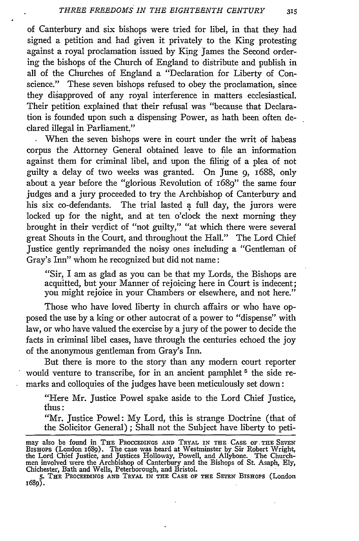of Canterbury and six bishops were tried for libel, in that they had signed a petition and had given it privately to the King protesting against a royal proclamation issued by King James the Second ordering the bishops of the Church of England to distribute and publish in all of the Churches of England a "Declaration for Liberty of Conscience." These seven bishops refused to obey the proclamation, since they disapproved of any royal interference in matters ecclesiastical. Their petition explained that their refusal was "because that Declaration is founded upon such a dispensing Power, as hath been often declared illegal in Parliament."

When the seven bishops were in court under the writ of habeas corpus the Attorney General obtained leave to file an information against them for criminal libel, and upon the filing of a plea of not guilty a delay of two weeks was granted. On June 9, 1688, only about a year before the "glorious Revolution of 1689" the same four judges and a jury proceeded to try the Archbishop of Canterbury and his six co-defendants. The trial lasted a full day, the jurors were locked up for the night, and at ten o'clock the next morning they brought in their verdict of "not guilty," "at which there were several great Shouts in the Court, and throughout the Hall." The Lord Chief Justice gently reprimanded the noisy ones including a "Gentleman of Gray's Inn" whom he recognized but did not name:

"Sir, I am as glad as you can be that my Lords, the Bishops are acquitted, but your Manner of rejoicing here in Court is indecent; you might rejoice in your Chambers or elsewhere, and not here."

Those who have loved liberty in church affairs or who have opposed the use by a king or other autocrat of a power to "dispense" with law, or who have valued the exercise by a jury of the power to decide the facts in criminal libel cases, have through the centuries echoed the joy of the anonymous gentleman from Gray's Inn.

But there is more to the story than any modern court reporter would venture to transcribe, for in an ancient pamphlet **5** the side remarks and colloquies of the judges have been meticulously set down:

"Here Mr. Justice Powel spake aside to the Lord Chief Justice, thus:

"Mr. Justice Powel: My Lord, this is strange Doctrine (that of the Solicitor General) ; Shall not the Subject have liberty to peti-

**5. THE** PROCEEDINGS **AND TRYAL IN THE CASE** OF **TEE SEVEN BISHOPS** (London I689).

may also be found in THE PROCCEDINGS AND TRYAL IN THE CASE OF THE SEVEN<br>BISHOPS (London 1689). The case was heard at Westminster by Sir Robert Wright,<br>the Lord Chief Justice, and Justices Holloway, Powell, and Allybone. Th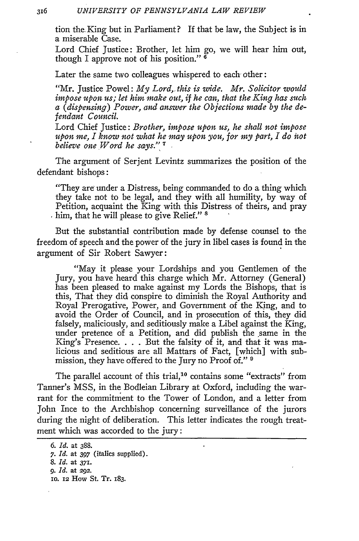tion the-King but in Parliament? If that be law, the Subject is in a miserable Case.

Lord Chief Justice: Brother, let him go, we will hear him out, though I approve not of his position." **6**

Later the same two colleagues whispered to each other:

"Mr. Justice Powel: *My Lord,, this is wide. Mr. Solicitor would impose upon us; let him make out, if he can, that the King has such a (dispensing) Power, and answer the Objections made by the defendant Council.*

Lord Chief Justice: *Brother, impose upon us, he shall not impose upon me, I know not what he may upon you, for my part, I do not believe one Word he says."* **7**

The argument of Serjent Levintz summarizes the position of the defendant bishops:

"They are under a Distress, being commanded to do a thing which they take not to be legal, and they with all humility, by way of Petition, acquaint the King with this Distress of theirs, and pray him, that he will please to give Relief." **<sup>8</sup>**

But the substantial contribution made by defense counsel to the freedom of speech and the power of the jury in libel cases is found in the argument of Sir Robert Sawyer:

"May it please your Lordships and you Gentlemen of the Jury, you have heard this charge which Mr. Attorney (General) has been pleased to make against my Lords the Bishops, that is this, That they did conspire to diminish the Royal Authority and Royal Prerogative, Power, and Government of the King, and to avoid the Order of Council, and in prosecution of this, they did falsely, maliciously, and seditiously make a Libel against the King, under pretence of a Petition, and did publish the same in the King's Presence. . **.** . But the falsity of it, and that it was malicious and seditious are all Mattars of Fact, [which] with submission, they have offered to the Jury no Proof of." 9

The parallel account of this trial,<sup>10</sup> contains some "extracts" from Tanner's MSS, in the Bodleian Library at Oxford, including the warrant for the commitment to the Tower of London, and a letter from John Ince to the Archbishop concerning surveillance of the jurors during the night of deliberation. This letter indicates the rough treatment which was accorded to the jury:

*<sup>6.</sup> Id.* at **388. 7.** *Id.* at **397** (italics supplied). *8. Id.* at **371.** *9. Id.* at **292.** io. **12** How St. Tr. 183.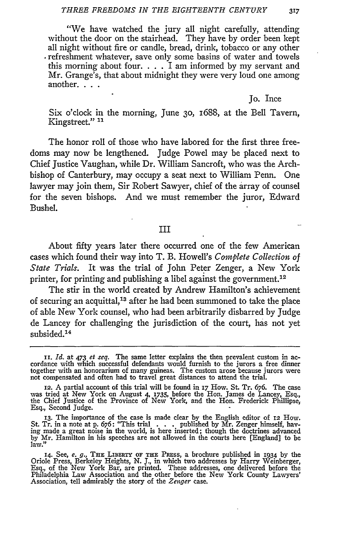"We have watched the jury all night carefully, attending without the door on the stairhead. They have by order been kept all night without fire or candle, bread, drink, tobacco or any other refreshment whatever, save only some basins of water and towels this morning about four.  $\ldots$  I am informed by my servant and Mr. Grange's, that about midnight they were very loud one among another. . . .

#### Jo. Ince

Six o'clock in the morning, June **30,** 1688, at the Bell Tavern, Kingstreet." **11**

The honor roll of those who have labored for the first three freedoms may now be lengthened. Judge Powel may be placed next to Chief Justice Vaughan, while Dr. William Sancroft, who was the Archbishop of Canterbury, may occupy a seat next to William Penn. One lawyer may join them, Sir Robert Sawyer, chief of the array of counsel for the seven bishops. And we must remember the juror, Edward Bushel.

### III

About fifty years later there occurred one of the few American cases which found their way into T. B. Howell's *Complete Collection of State Trials.* It was the trial of John Peter Zenger, a New York printer, for printing and publishing a libel against the government. <sup>12</sup>

The stir in the world created by Andrew Hamilton's achievement of securing an acquittal,<sup>13</sup> after he had been summoned to take the place of able New York counsel, who had been arbitrarily disbarred by Judge de Lancey for challenging the jurisdiction of the court, has not yet subsided.<sup>14</sup>

ii. *Id.* at 473 *et seq.* The same letter explains the then prevalent custom in ac- cordance with which successful defendants would furnish to the jurors a free dinner together with an honorarium of many guineas. The custom arose because jurors were not compensated and often had to travel great distances to attend the trial.

<sup>12.</sup> A partial account of this trial will be found in 17 How. St. Tr. 676. The case was tried at New York on August 4, 1735, before the Hon. James de Lancey, Esq., the Chief Justice of the Province of New York, and the Hon. Esq., Second Judge.

<sup>13.</sup> The importance of the case is made clear by the English editor of 12 How.<br>St. Tr. in a note at p. 676: "This trial . . . published by Mr. Zenger himself, having made a great noise in the world, is here inserted; though by Mr. Hamilton in his speeches are not allowed in the courts here [England] to be law."

**<sup>14.</sup>** See, *e. g.,* THE LIBERTY **OF THE** PRnss, a brochure published in 1934 **by** the Oriole Press, Berkeley Heights, N. J., in which two addresses by Harry Weinberger<br>Esq., of the New York Bar, are printed. These addresses, one delivered before the<br>Philadelphia Law Association and the other before the New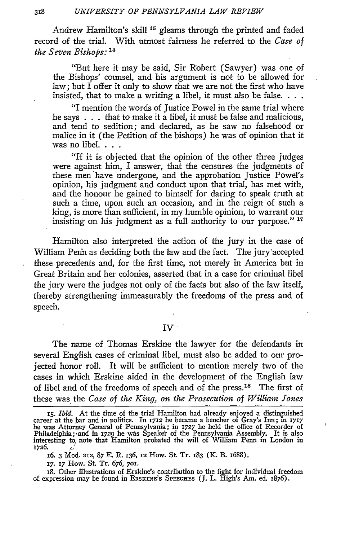Andrew Hamilton's skill <sup>15</sup> gleams through the printed and faded record of the trial. With utmost fairness he referred to the *Case of the Seven Bishops: <sup>1</sup> 6*

"But here it may be said, Sir Robert (Sawyer) was one of the Bishops' counsel, and his argument is not to be allowed for law; but I offer it only to show that we are not the first who have insisted, that to make a writing a libel, it must also be false.  $\ldots$ .

"I mention the words of Justice Powel in the same trial where he says . . . that to make it a libel, it must be false and malicious, and tend to sedition; and declared, as he saw no falsehood or malice in it (the Petition of the bishops) he was of opinion that it was no libel **...**

"If it is objected that the opinion of the other three judges were against him, I answer, that the censures the judgments of these men have undergone, and the approbation Justice Powel's opinion, his judgment and conduct upon that trial, has met with, and the honour he gained to himself for daring to speak truth at such a time, upon such an occasion, and in the reign of such a king, is more than sufficient, in my humble opinion, to warrant our insisting on his judgment as a full authority to our purpose." **<sup>17</sup>**

Hamilton also interpreted the action of the jury in the case of William Penn as deciding both the law and the fact. The jury'accepted these precedents and, for the first time, not merely in America but in Great Britain and her colonies, asserted that in a case for criminal libel the jury were the judges not only of the facts but also of the law itself, thereby strengthening immeasurably the freedoms of the press and of speech.

## IV

The name of Thomas Erskine the lawyer for the defendants in several English cases of criminal libel, must also be added to our projected honor roll. It will be sufficient to mention merely two of the cases in which Erskine aided in the development of the English law of libel and of the freedoms of speech and of the press.<sup>18</sup> The first of these was the *Case of the King, on the Prosecution of William Jones*

 $\overline{I}$ 

**17. 17** How. **St.** Tr. 676, **701.**

18. Other illustrations of Erskine's contribution to the fight for individual freedom of expression may be found in ERSKINE'S SPEECHES (J. L. High's Am. ed. 1876).

<sup>15.</sup> *Ibid.* At the time of the trial Hamilton had already enjoyed a distinguished career at the bar and in politics. In 1712 he became a bencher of Gray's Inn; in 1717<br>he was Attorney General of Pennsylvania; in 1727 he he Philadelphia; and in 1729 he was Speaker of the Pennsylvania Assembly. It is also interesting to note that Hamilton probated the will of William Penn in London in 1726. 16. 3 Mod. 212, **87 E.** R. 136, 12 How. St. Tr. **183** (K. B. 1688).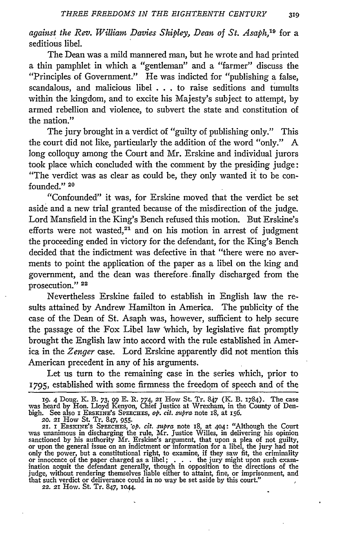*against the Rev. William Davies Shipley, Dean of St. Asaph,19* for a seditious libel.

The Dean was a mild mannered man, but he wrote and had printed a thin pamphlet in which a "gentleman" and a "farmer" discuss the "Principles of Government." He was indicted for "publishing a false, scandalous, and malicious libel . . . to raise seditions and tumults within the kingdom, and to excite his Majesty's subject to attempt, by armed rebellion and violence, to subvert the state and constitution of the nation."

The jury brought in a verdict of "guilty of publishing only." This the court did not like, particularly the addition of the word "only." A long colloquy among the Court and Mr. Erskine and individual jurors took place which concluded with the comment by the presiding judge: "The verdict was as clear as could be, they only wanted it to be confounded." **<sup>20</sup>**

"Confounded" it was, for Erskine moved that the verdict be set aside and a new trial granted because of the misdirection of the judge. Lord Mansfield in the King's Bench refused this motion. But Erskine's efforts were not wasted, $21$  and on his motion in arrest of judgment the proceeding ended in victory for the defendant, for the King's Bench decided that the indictment was defective in that "there were no averments to point the application of the paper as a libel on the king and government, and the dean was therefore. finally discharged from the prosecution." **<sup>22</sup>**

Nevertheless Erskine failed to establish in English law the results attained by Andrew Hamilton in America. The publicity of the case of the Dean of St. Asaph was, however, sufficient to help secure the passage of the Fox Libel law 'which, by legislative fiat promptly brought the English law into accord with the rule established in America in the *Zenger* case. Lord Erskine apparently did not mention this American precedent in any of his arguments.

Let us turn to the remaining case in the series which, prior to 1795, established with some firmness the freedom of speech and of the

**<sup>19.</sup>** 4 Doug. K. B. *73,* **99** E. R. 774, **21** How St. Tr. 847 (K. B. 1784). The case was heard by Hon. Lloyd Kenyon, Chief Justice at Wrexham, in the County of Den-<br>bigh. See also I ERSKINE's SPEECHES, *op. cit. supra* note 18, at 156.<br>20. 21 How St. Tr. 847, 955.

<sup>21.</sup> I ERSKINE's SPEECHES, *'op. cit. supra* note 18, at 404: "Although the Court was unanimous in discharging the rule, Mr. Justice Willes, in delivering his opinion sanctioned by his authority Mr. Erskine's argument, that upon a plea of not guilty, or upon the general issue on an indictment or information for a libel, the jury had not only the power, but a constitutional right, to exa or innocence of the paper charged as a libel; . . . the jury might upon such exam- ination acquit the defendant generally, though in opposition to the directions of the judge, without rendering themselves liable either to attaint, fine, or imprisonment, and that such verdict or deliverance could in no way be set aside by this court." 22. **21** How. St. Tr. 847, io44.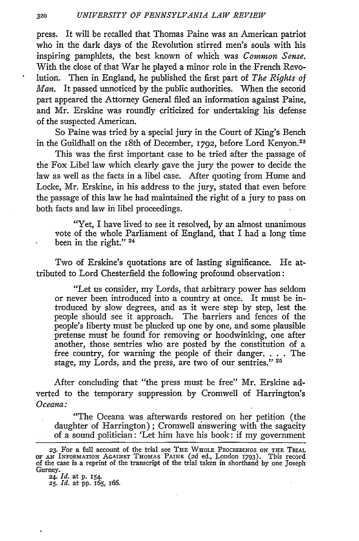press. It will be recalled that Thomas Paine was an American patriot who in the dark days of the Revolution stirred men's souls with his inspiring pamphlets, the best known of which was *Common Sense.* With the close of that War he played a minor role in the French Revolution. Then in England, he published the first part of *The Rights of Man.* It passed unnoticed by the public authorities. When the second part appeared the Attorney General filed an information against Paine, and Mr. Erskine was roundly criticized for undertaking his defense of the suspected American.

So Paine was tried by a special jury in the Court of King's Bench in the Guildhall on the 18th of December, 1792, before Lord Kenyon.<sup>23</sup>

This was the first important case to be tried after the passage of the Fox Libel law which clearly gave the jury the power to decide the law as well as the facts in a libel case. After quoting from Hume and Locke, Mr. Erskine, in his address to the jury, stated that even before the passage of this law he had maintained the right of a jury to pass on both facts and law in libel proceedings.

"Yet, I have lived to see it resolved, by an almost unanimous vote of the whole Parliament of England, that I had a long time been in the right." **24**

Two of Erskine's quotations are of lasting significance. He attributed to Lord Chesterfield the following profound observation:

"Let us consider, my Lords, that arbitrary power has seldom or never been introduced into a country at once. It must be introduced by slow degrees, and as it were step by step, lest the people should see it approach. The barriers and fences of the people's liberty must be plucked up one by one, and some plausible pretense must be found for removing or hoodwinking, one after another, those sentries who are posted by the constitution of a free country, for warning the people of their danger. . **.** . The stage, my Lords, and the press, are two of our sentries." **<sup>25</sup>**

After concluding that "the press must be free" Mr. Erskine adverted to the temporary suppression by Cromwell of Harrington's *Oceana:*

"The Oceana was afterwards restored on her petition (the daughter of Harrington); Cromwell answering with the sagacity of a sound politician: 'Let him have his book: if my government

**<sup>23.</sup>** For a full account of the trial see **THE WHOLE** PROCEEDINGS **ON THE TRIAL** OF **AN INFORMATION** AGAINST **THOMAS PAINE** (2d ed., London 1793). This record of the case is a reprint of the transcript of the trial taken in shorthand by one Joseph Gurney.

*<sup>24.</sup> Id.* at **p. 154. 25.** *Id.* at **pp.** *165, 166.*